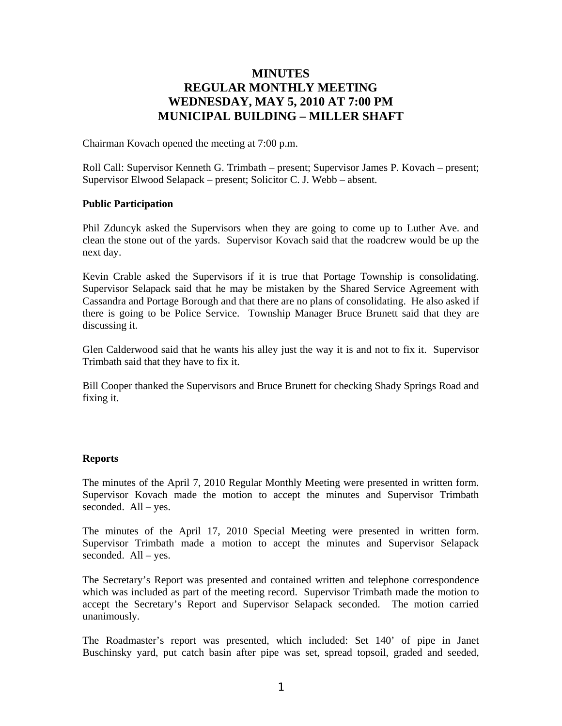# **MINUTES REGULAR MONTHLY MEETING WEDNESDAY, MAY 5, 2010 AT 7:00 PM MUNICIPAL BUILDING – MILLER SHAFT**

Chairman Kovach opened the meeting at 7:00 p.m.

Roll Call: Supervisor Kenneth G. Trimbath – present; Supervisor James P. Kovach – present; Supervisor Elwood Selapack – present; Solicitor C. J. Webb – absent.

## **Public Participation**

Phil Zduncyk asked the Supervisors when they are going to come up to Luther Ave. and clean the stone out of the yards. Supervisor Kovach said that the roadcrew would be up the next day.

Kevin Crable asked the Supervisors if it is true that Portage Township is consolidating. Supervisor Selapack said that he may be mistaken by the Shared Service Agreement with Cassandra and Portage Borough and that there are no plans of consolidating. He also asked if there is going to be Police Service. Township Manager Bruce Brunett said that they are discussing it.

Glen Calderwood said that he wants his alley just the way it is and not to fix it. Supervisor Trimbath said that they have to fix it.

Bill Cooper thanked the Supervisors and Bruce Brunett for checking Shady Springs Road and fixing it.

## **Reports**

The minutes of the April 7, 2010 Regular Monthly Meeting were presented in written form. Supervisor Kovach made the motion to accept the minutes and Supervisor Trimbath seconded. All – yes.

The minutes of the April 17, 2010 Special Meeting were presented in written form. Supervisor Trimbath made a motion to accept the minutes and Supervisor Selapack seconded. All – yes.

The Secretary's Report was presented and contained written and telephone correspondence which was included as part of the meeting record. Supervisor Trimbath made the motion to accept the Secretary's Report and Supervisor Selapack seconded. The motion carried unanimously.

The Roadmaster's report was presented, which included: Set 140' of pipe in Janet Buschinsky yard, put catch basin after pipe was set, spread topsoil, graded and seeded,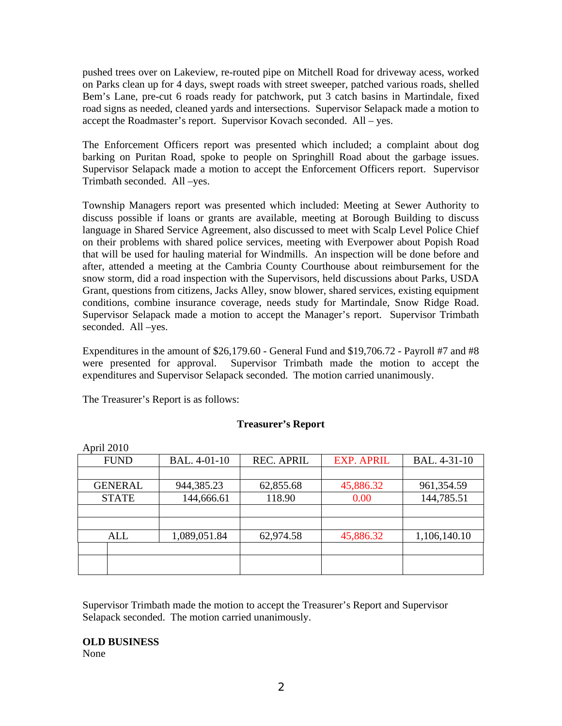pushed trees over on Lakeview, re-routed pipe on Mitchell Road for driveway acess, worked on Parks clean up for 4 days, swept roads with street sweeper, patched various roads, shelled Bem's Lane, pre-cut 6 roads ready for patchwork, put 3 catch basins in Martindale, fixed road signs as needed, cleaned yards and intersections. Supervisor Selapack made a motion to accept the Roadmaster's report. Supervisor Kovach seconded. All – yes.

The Enforcement Officers report was presented which included; a complaint about dog barking on Puritan Road, spoke to people on Springhill Road about the garbage issues. Supervisor Selapack made a motion to accept the Enforcement Officers report. Supervisor Trimbath seconded. All –yes.

Township Managers report was presented which included: Meeting at Sewer Authority to discuss possible if loans or grants are available, meeting at Borough Building to discuss language in Shared Service Agreement, also discussed to meet with Scalp Level Police Chief on their problems with shared police services, meeting with Everpower about Popish Road that will be used for hauling material for Windmills. An inspection will be done before and after, attended a meeting at the Cambria County Courthouse about reimbursement for the snow storm, did a road inspection with the Supervisors, held discussions about Parks, USDA Grant, questions from citizens, Jacks Alley, snow blower, shared services, existing equipment conditions, combine insurance coverage, needs study for Martindale, Snow Ridge Road. Supervisor Selapack made a motion to accept the Manager's report. Supervisor Trimbath seconded. All –yes.

Expenditures in the amount of \$26,179.60 - General Fund and \$19,706.72 - Payroll #7 and #8 were presented for approval. Supervisor Trimbath made the motion to accept the expenditures and Supervisor Selapack seconded. The motion carried unanimously.

The Treasurer's Report is as follows:

## **Treasurer's Report**

| April 2010     |              |                   |                   |              |
|----------------|--------------|-------------------|-------------------|--------------|
| <b>FUND</b>    | BAL. 4-01-10 | <b>REC. APRIL</b> | <b>EXP. APRIL</b> | BAL. 4-31-10 |
|                |              |                   |                   |              |
| <b>GENERAL</b> | 944,385.23   | 62,855.68         | 45,886.32         | 961,354.59   |
| <b>STATE</b>   | 144,666.61   | 118.90            | 0.00              | 144,785.51   |
|                |              |                   |                   |              |
|                |              |                   |                   |              |
| ALL            | 1,089,051.84 | 62,974.58         | 45,886.32         | 1,106,140.10 |
|                |              |                   |                   |              |
|                |              |                   |                   |              |
|                |              |                   |                   |              |

Supervisor Trimbath made the motion to accept the Treasurer's Report and Supervisor Selapack seconded. The motion carried unanimously.

## **OLD BUSINESS**

None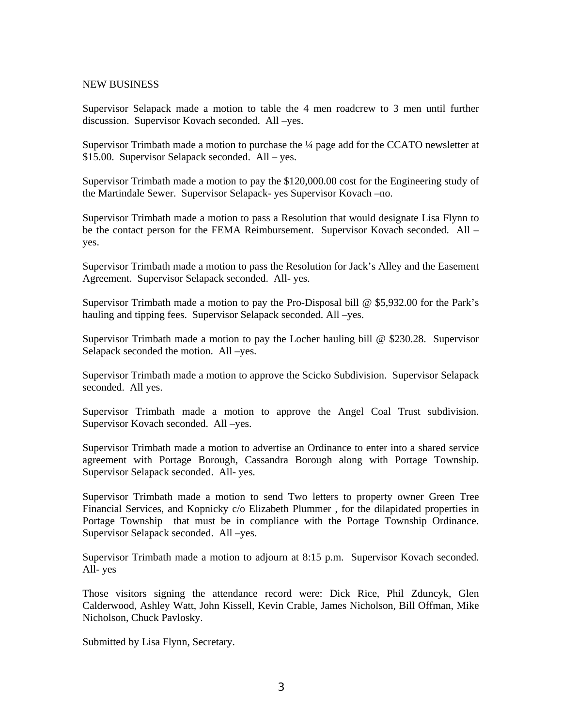## NEW BUSINESS

Supervisor Selapack made a motion to table the 4 men roadcrew to 3 men until further discussion. Supervisor Kovach seconded. All –yes.

Supervisor Trimbath made a motion to purchase the ¼ page add for the CCATO newsletter at \$15.00. Supervisor Selapack seconded. All – yes.

Supervisor Trimbath made a motion to pay the \$120,000.00 cost for the Engineering study of the Martindale Sewer. Supervisor Selapack- yes Supervisor Kovach –no.

Supervisor Trimbath made a motion to pass a Resolution that would designate Lisa Flynn to be the contact person for the FEMA Reimbursement. Supervisor Kovach seconded. All – yes.

Supervisor Trimbath made a motion to pass the Resolution for Jack's Alley and the Easement Agreement. Supervisor Selapack seconded. All- yes.

Supervisor Trimbath made a motion to pay the Pro-Disposal bill @ \$5,932.00 for the Park's hauling and tipping fees. Supervisor Selapack seconded. All –yes.

Supervisor Trimbath made a motion to pay the Locher hauling bill @ \$230.28. Supervisor Selapack seconded the motion. All –yes.

Supervisor Trimbath made a motion to approve the Scicko Subdivision. Supervisor Selapack seconded. All yes.

Supervisor Trimbath made a motion to approve the Angel Coal Trust subdivision. Supervisor Kovach seconded. All –yes.

Supervisor Trimbath made a motion to advertise an Ordinance to enter into a shared service agreement with Portage Borough, Cassandra Borough along with Portage Township. Supervisor Selapack seconded. All- yes.

Supervisor Trimbath made a motion to send Two letters to property owner Green Tree Financial Services, and Kopnicky c/o Elizabeth Plummer , for the dilapidated properties in Portage Township that must be in compliance with the Portage Township Ordinance. Supervisor Selapack seconded. All –yes.

Supervisor Trimbath made a motion to adjourn at 8:15 p.m. Supervisor Kovach seconded. All- yes

Those visitors signing the attendance record were: Dick Rice, Phil Zduncyk, Glen Calderwood, Ashley Watt, John Kissell, Kevin Crable, James Nicholson, Bill Offman, Mike Nicholson, Chuck Pavlosky.

Submitted by Lisa Flynn, Secretary.